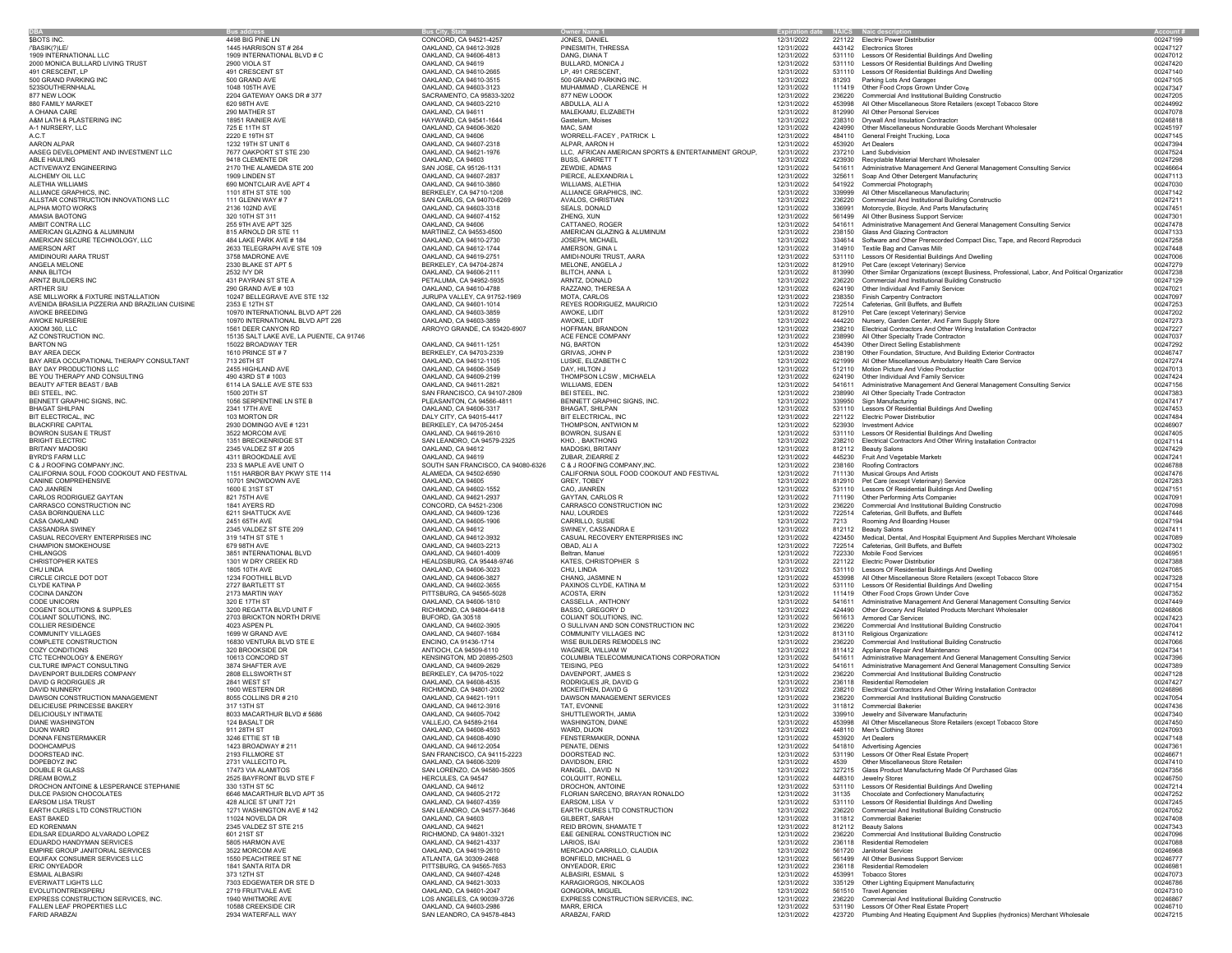**DBA**ANNA BLITCH<br>ARNTZ BUILDERS INC AVENIDA BRASILIA PIZZERIA AND BRAZILIAN CUISINE AXIOM 360, LLC<br>
AZ CONSTRUCTION INC.<br>
15135 SALT LAKE AVE, L CALIFORNIA SOUL FOOD COOKOUT AND FESTIVAL 1151 HARBOR BAY PKWY STE 114 CANINE COMPREHENSIVE 10701 SNOWDOWN AVE COMPREHENSIVE 10701 SNOWDOWN AVE CANINE COMPREHENSIVE 10701 SNOWDOWN AVE<br>CAO JIANREN 1600 E 31ST ST CALLAND, CA 94602-1552 CARLOS RODRIGUEZ GAYTAN 821 75TH AVE OAKLAND, CA 94621-2937 GAYTAN, CARLOS RCOGENT SOLUTIONS & SUPPLES 3200 REGATTA BLVD UNIT F SOLUTION ON A SUPPORT AND DRUGHAL DRUGHAL DRUGHAL DRUGHALD<br>COLLANT SOLUTIONS, INC. 2003 BRICKTON NORTH DRIVE BURGHAM BROWN BURGHALD AND BURGHALD ON ANTISOLUTIONS, INC.<br>CO COZY CONDITIONS 320 BROOKSIDE DRCTC TECHNOLOGY & ENERGYEQUIFAX CONSUMER SERVICES LLC<br>
ERIC ONYEADOR<br>
1841 SANTA RITA DR

CHAMPION SMOKE CHAMPION SMOKE CHAMPION SMOKE CHAMPION SMOKE CHAMPION SMOKE CHAMPION SMOKE CHAMPION SMOKE CHAMPION SMOKE CHAMPION SMOKE CHAMPION SMOKE CHAMPION SMOKE CHAMPION SMOKE CHAMPION SMOKE CHAMPION SMOKE CHAMPION SMO

A.C.T 2220 E 19TH ST 2220 E 19TH ST 2220 E 19TH ST DAKLAND, CA 94606 CONCELL-FACEY , PATRICK L 2022 2022 2022 484110 General Freight Trucking, Loca 1999<br>AARON ALPAR POLITIC 2022 2022 AROUND 2021 19TH ST DAKEN AND CA 94627-ALPHA MOTORING 2010 2136 102ND AVE OR 2136 102ND, CA 94607-4152 2020-2020 2020-2020 AVE OAKLAND, CA 94607-4152<br>AMASIA BAOTONG 2020 AND PARTS MOTORING 2020 2020 AND PARTS MANUFACTURE 2020 2020 2020 2021 2021/2022 2021499 AI EARS AND LISA TRUST 428 AN AN ANGLE ST UNIT AN ANGLE ST UNIT AN ANGLE ST UNIT AN ANGLE ST UNIT ANGLE ST UNIT A<br>1271 WASHINGTON AVE #142 AN DASTING DAS AN LEANDRO, CA 94577-3646 EARTH CURES LITO CONSTRUCTION 12/31/2022 2362

 **Bus address Bus City, State Owner Name 1 Expiration date NAICS Naic description Account #**  $\text{SDTS INC.} \quad \text{398-101} \quad \text{302-11} \quad \text{308-103} \quad \text{309-101} \quad \text{309-101} \quad \text{309-101} \quad \text{309-101} \quad \text{309-102} \quad \text{309-103} \quad \text{309-103} \quad \text{309-103} \quad \text{309-103} \quad \text{309-103} \quad \text{309-103} \quad \text{309-103} \quad \text{309-103} \quad \text{$ /'BASIK(?)LE/ 1445 HARRISON ST # 264 OAKLAND, CA 94612-3928 PINESMITH, THRESSA 12/31/2022 443142 Electronics Stores 00247127  $1909 \, \text{INTENATION} \quad \text{LIC} \qquad \qquad 1909 \, \text{INTENATION} \quad \text{LRSN TORR} \quad \text{LRSN TORR} \quad \text{LRSN TORR} \quad \text{LRSN TORR} \quad \text{LRSN TORR} \quad \text{LRSN TORR} \quad \text{LRSN TORR} \quad \text{LRSN TORR} \quad \text{LRSN TORR} \quad \text{LRSN TORR} \quad \text{LRSN TORR} \quad \text{LRSN TORR} \quad \text{LRSN TORR} \quad \text{LRSN TORR} \quad \text{LRSN TOR$ 2000 MONICA BULLARD LIVING TRUST 2900 VIOLA ST OAKLAND, CA 94619 BULLARD, MONICA J 12/31/2022 531110 Lessors Of Residential Buildings And Dwelling 00247420 ester (1919), 491 CRESCENT ST بين المستحدث المستحدث المستحدث المستحدث المستحدث المستحدث المستحدث المستحدث المستحدث المستحدث المستحدث المستحدث المستحدث المستحدث المستحدث المستحدث المستحدث المستحدث المستحدث المستحدث المستحدث 500 GRAND PARKING INC 500 GRAND AVE OAKLAND, CA 94610-3515 500 GRAND PARKING INC. 12/31/2022 81293 Parking Lots And Garages 00247105 523SOUTHERNHALAL 1048 105TH AVE OAKLAND, CA 94603-3123 MUHAMMAD , CLARENCE H 12/31/2022 111419 Other Food Crops Grown Under Cove 00247347 877 NEW LOOK 2204 GATEWAY OAKS DR #377 SACRAMENTO, CA 9583-3202 BUILDING 1.<br>2204 GATEWAY OR DR #377 NEW LOOK 12/31/2022 236220 CONSTRUCTION 2024 CONSTRUCTION CONSTRUCTION CONSTRUCTION CONSTRUCTION CONSTRUCTION CONSTRUCTION  $\text{ABDULL, ALIA} \begin{minipage}{0.98cm} \begin{minipage}{0.98cm} \begin{minipage}{0.98cm} \begin{minipage}{0.98cm} \begin{minipage}{0.98cm} \begin{minipage}{0.98cm} \begin{minipage}{0.98cm} \begin{minipage}{0.98cm} \begin{minipage}{0.98cm} \begin{minipage}{0.98cm} \begin{minipage}{0.98cm} \begin{minipage}{0.98cm} \begin{minipage}{0.98cm} \begin{minipage}{0.98cm} \begin{minipage}{0.98cm} \begin{minipage}{0.98cm} \begin{$ A OHANA CARE 290 MATHER ST OAKLAND, CA 94611 MALEKAMU, ELIZABETH 12/31/2022 812990 All Other Personal Services 00247078 A&M LATH & PLASTERING INC 18951 RAINIER AVE HAYWARD, CA 94541-1644 Gastelum, Moises 12/31/2022 238310 Drywall And Insulation Contractors 00246818 A-1 NURSERY, LLC 725 E 11TH ST OAKLAND, CA 94606-3620 MAC, SAM 12/31/2022 424990 Other Miscellaneous Nondurable Goods Merchant Wholesaler 00245197 AARON ALPAR 1232 19TH ST UNIT 6 COAKLAND, CA 94607-2318 ALPAR, AARON H 12/31/2022 453920 Art Dealers 12/31/2022 453920 Art Dealers 00247394 AASLODENT AND INVESTMENT LLC TOT OAK AND THE GALAND, CA 94603-1976 LLC, AFRICAN AMERICAN SPORTS &ENTERTAINMENT GROUP, 12/31/2022 22791 Land Subdivision<br>ABLE HAULING REGISLATION OF DEAN AND THE SAND AND ANOUNCE AND DISS, G ACTIVEWAYZ ENGINEERING 2170 THE ALAMEDA STE 200 SAN JOSE, CA 95126-1131 ZEWDIE, ADMAS 12/31/2022 541611 Administrative Management And General Management Consulting Service 00246664 ALCHEMY OIL LLC 1909 LINDEN ST OAKLAND, CA 94607-2837 PIERCE, ALEXANDRIA L 12/31/2022 325611 Soap And Other Detergent Manufacturing 00247113 ALETHIA WILLIAMS 690 MONTCLAIR AVE APT 4 OAKLAND, CA 94610-3860 WILLIAMS, ALETHIA 12/31/2022 541922 Commercial Photography 00247030 ALLIANCE GRAPHICS, INC. 1101 8TH ST STE 100 BERKELEY, CA 94710-1208 ALLIANCE GRAPHICS, INC. 12/31/2022 339999 All Other Miscellaneous Manufacturing 00247142 ALLSTAR CONSTRUCTION INNOVATIONS LLC 111 GLENN WAY "SAN CARLOS, CARLOS, CARLOS, CARLOS, CARLOS, CARLOS, CARLOS, CARLOS, CARLOS, CARLOS, CARLOS, CARLOS, CARLOS, CARLOS, CARLOS, CARLOS, CARLOS, CARLOS, CARLOS, CARLOS, CARLOS AMASIA BAOTONG 320 10TH ST 311 OAKLAND, CA 94607-4152 ZHENG, XUN 12/31/2022 561499 All Other Business Support Services 00247301 AMBIT CONTRA UCL- 255 STH AVE ARE STHUR AND DRAIN ON A CALAND, CALAND, CALAND, CALAND, CALAND, CALAND AND MATHREN ARE AND ANNER AND ANNOUND ANNOUND ANNOUND ANNOUND ANNOUND AND DRAIN ON A 2013 AND ANNOUND AND DRAINING ON A AMERICAN SECURE TECHNOLOGY, LLC 484 LAKE PARK AVE # 184 OAKLAND, CA 94610-2730 JOSEPH, MICHAEL 12017202 JOSEPH, MICHAEL 12/31/2022 34614 Software and Other Prerecorded Compact Disc, Tape, and Record Reproducin 1023/2022 23 AMERSON ART 2633 TELEGRAPH AVE STE 109 ODATA AMERSON, GINA L AMERSON, GINA L 2631/2022 314910 Textile Bag and Canvas Mills 00247448 00247448 00247448 00247448 00247448 00247448 00247448 00247448 00247448 002477 - 12/31/202 AMIDINOURIARA TRUST 3758 MADRONE AVE OR DE SANGURI AARA AMIDI-NOURI TRUST, AARA 1201/2022 53110 DE CA 94701/202<br>ANGELA MELONE OR DE SANG ANG DE SANG ANG DE SANG ANG DE SANG ANG DE SANG ANG DE SANG ANG DE SANG DE SANG DE SA  $\,$ ANGELA MELONE DERKET APT 5 2330 BLAKE ST APT 5 BERKELEY, CA 94704-2874 MELONE, ANGELA J 12/31/2022 812910 Pet Care (except Veterinary) Service on the care (except Veterinary) Service on the care (except Veterinary) Ser OAKLAND, CA 94606-2111 BLITCH, ANNA L 12/31/2022 813990 Other Similar Organizations (except Business, Professional, Labor, And Political Organization 00247238  $\begin{array}{l} \multicolumn{1}{c}{\textbf{ARNTZ DUNL} \textbf{A} \textbf{A} \textbf{A} \textbf{A} \textbf{A} \textbf{A} \textbf{A} \textbf{A} \textbf{A} \textbf{A} \textbf{A} \textbf{A} \textbf{A} \textbf{A} \textbf{A} \textbf{A} \textbf{A} \textbf{A} \textbf{A} \textbf{A} \textbf{A} \textbf{A} \textbf{A} \textbf{A} \textbf{A} \textbf{A} \textbf{A} \textbf{A} \textbf{A} \textbf{A} \textbf{A} \textbf{A} \text$  $\,$ ARTHER SIU 290 GRAND AVE # 103 00247021 DAKLAND, CA 94610-4788 RAZZANO, THERESA A 12/31/2022 624190 Other Individual And Family Service: 200247021 0247021 20247021 0247021 20247021 20247021 20247021 20247021 20247021 2 ASE MILLWORK & FIXTURE INSTALLATION 20247 BELLEGRAVE AVE AND SURVEY ON THE SURVEY ON THE SURVEY ON THE SURVEY ON THE SURVEY ON THE SURVEY ON THE SURVEY ON THE SURVEY ON THE SURVEY ON THE SURVEY ON THE SURVEY ON THE SURVEY AWOKE BREEDING 10970 INTERNATIONAL BLVD APT 226 OAKLAND, CA 94603-3859 AWOKE, LIDIT 12/31/2022 812910 Pet Care (except Veterinary) Services 00247202 AWOKE NURSERIE 10970 INTERNATIONAL BLVD APT 226 OAKLAND, CA 94603-3859 AWOKE, LIDIT AWOKE, LIDIT AND ARROY OF AND ARROY AND ARROY AND A SUPPLATION CONTROLLED AND A SUPPLATION OF A SUPPLATION OF A SUPPLATION OF A SUPPLATION ARROR (1931/2022 1982) 12/31/2022 238210 Electrical Contractors And Other Wiring Installation Contractor<br>ARROR COMPANY 12/31/2022 238990 All Other Specialty Trade Contractor 00247037 00247037 AZ CONSTRUCTION INC. AND MANUS AND MANUS AND ANNOUNCED AND ANNOUNCED AND ANNOUNCED AND ANNOUNCED AND ANNOUNCED AND ANNOUNCED AND ANNOUNCED AND ANNOUNCED AND ANNOUNCED AND ANNOUNCED AND ANNOUNCED AND ANNOUNCED AND ANNOUNCED BARTON 1980 1502 BROADWAY TER SAGEN DAKEND, CA 9461-1251 NO.BARTON 1990 1211 1202 454390 Other Deuts and DATER<br>BAY AREA DECK SAGEND AND DATER IN THE SAGEN DATER ON DATER AND DRAFT ON SAGEN DATA DATER ON DATER ON DATER ON BAY AREA OCCUPATIONAL THERAPY CONSULTANT 713 26TH ST ON SOLUTION ON DAKLAND, CA 94612-1105 LUSKE, ELIZABETH C<br>BAY DAY PRODUCTIONS LLC PRODUCTIONS 2455 HIGHLAND AVE 247574<br>BAY DAY PRODUCTIONS LLC PRODUCTIONS 2450 247013 2 BAY DAY PRODUCTIONS LLC 2455 HIGHLAND AVE OAKLAND, CA 94606-3549 DAY, HILTON J 12/31/2022 512110 Motion Picture And Video Production 00247013 BE YOU THERAPY AND CONSULTING 490 43RD ST # 1003 OAKLAND, CA 94609-2199 THOMPSON LCSW , MICHAELA 12/31/2022 624190 Other Individual And Family Services 00247424 BEAUTY AFTER BEAST / BAB 6114 LA SALLE AVE STE 533 OAKLAND, CA 94611-2821 WILLIAMS, EDEN 1271/2022 CHA 1211/2022 S41611 Administrative Management Consulting Service 00247356<br>BENT GROEN SALLE AVE STE 533 SALLE AVE SANT SANT BEI STEEL, INC. 2001 ALL ON 20TH ST 2002 238990 ALL ON 2012 238990 ALL ON 2012 238990 ALL Other Specialty Trade Contractors 0024738390 ALL Other Specialty Trade Contractors 0024738390 ALL ON 2012 238990 ALL Other Specialty BENNETT GRAPHIC SIGNS, INC. 1056 SERPENTINE LN STE B PLEASANTON, CA 94566-4811 BENNETT GRAPHIC SIGNS, INC. 12/31/2022 339950 Sign Manufacturing 00247417 00247417 BHAGAT SHILPAN 2341 17TH AVE OAKLAND, CA 94606-3317 BHAGAT, SHILPAN 12/31/2022 531110 Lessors Of Residential Buildings And Dwelling 00247453 BIT ELECTRICAL, INC 103 MORTON DR DALY CITY, CA 94015-4417 BIT ELECTRICAL, INC 12/31/2022 221122 Electric Power Distribution 00247484 BLACKFIRE CAPITAL 2010 2930 DOMINGO AVE #1231 00246907. BETWELLY, CA 947619-2461 THOMPSON, ANTWON MINON ANTWORN AND 12/31/2022 531110 Lessons Of Residential Buildings And Dwelling 0024605 0024605 0024605 0024605 00247405 BRIGHT ELECTRIC 1351 BRECKENRIDGE ST SAN LEANDRO, CA 94579-2225 KHO, BRECKENRIDGE ST SAN LEANDRO, CA 94579-2232<br>BRIGHT ELECTRIC 1351 BRECKENRIDGE ST SAN LEANDRO, CA 94579-225 MADOSKL BRITANY 12/31/2022 238210 BRECKENRIDGE BRITANY MADOSKI 2345 VALDEZ ST # 205 OO247429 OAKLAND, CA 94612 MADOSKI, BRITANY 12/31/2022 812112 Beauty Salons 00247429 O0247429 00247429 OO247429 OO247429 OO247429 OO247429 OO247429 OO247429 OO247429 OO247429 OO247429 O BYRD'S FARM LLC 4311 BROOKDALE AVE OAKLAND, CA 94619 ZUBAR, ZIEARRE Z 12/31/2022 445230 Fruit And Vegetable Markets 00247241 C & J ROOFING COMPANY,INC. 233 SMAPLE AVE UNIT O SOUTH SAN FRANCISCO, CA 94080-6326 C & J ROOFING COMPANY,INC. 238160 Roofing Contractors 00246788 00246788 AOLITHIS (NORTHERN COMPANY.INC. 1231/2022 2711130 Musical Groups And Artists 2024678<br>ALAMEDA, CA 94502-6590 CALIFORNIA SOUL FOOD COOKOUT AND FESTIVAL 12/31/2022 811190 Musical Groups And Artists<br>OAKLAND, CA 94602-1552 CAO, 12/31/2022 812910 Pet Care (except Veterinary) Services 00247283 CAO JIANREN 1600 E 31ST ST OAKLAND, CA 94602-1552 CAO, JIANREN 12/31/2022 531110 Lessors Of Residential Buildings And Dwelling 00247151 CARLOS RODING ARTS ARTS COMPANIES ON CONCORD, CARRASCO COMPANIES CARRASCO CONSTRUCTION INC 12112022 236220 COMPERIOMING ARTS CONSTRUCTION INC 12/31/2022 236220 Commercial And Institutional Building Constructio 00247098<br>CAR CASA BORINQUENA LLC 6211 SHATTUCK AVE OAKLAND, CA 94609-1236 NAU, LOURDES 12/31/2022 722514 Cafeterias, Grill Buffets, and Buffets 00247446 CASA OAKLAND 2451 65TH AVE 2451 65TH AVE CARRILLO, SOSIE CARRILLO, SUSIE CARRILLO, SUSIE 2713 Rooming And Boarding Houses 2021 12/31/2022 7213 Rooming And Boarding Houses 2024 7713 Rooming And Boarding Houses 2024 7713 Roo CASSANDRA SWINEY 2345 VALDEZ ST STE 209 OAKLAND, CA 94612 SWINEY, CASSANDRA E 12/31/2022 812112 Beauty Salons 00247411 CASSANDRA SWINEY CASUAL RECOVERY ENTERPRISES INC 2013 VALLEY AND SAN SAN DRAWN, CA 94612-3932 CASUAL RECOVERY ENTERPRISES INC 2022 2021 AND DRAWN AND SAN DRAWN AND SAN DRAWN AND AN ORGANIZE ON DRAWN CASUAL RECOVERY ENTERPR 12/31/2022 722514 Cafeterias, Grill Buffets, and Buffets<br>12/31/2022 722514 Cafeterias, Grill Buffets, and Buffets<br>12/31/2022 722330 Mobile Food Services CHILANGOS 3851 INTERNATIONAL BLVD OAKLAND, CA 94601-4009 Beltran, Manuel 12/31/2022 722330 Mobile Food Services 00246951 CHRISTOPHER KATES https://www.mateur.com/distribution/creek RD https://www.mateur.com/distribution/creek RD https://www.mateur.com/distribution/creek RD 002473889966 HEALDSBURG, CA 95448-9746 KATES, CHRISTOPHER S 12/31/202 CHU LINDA 1805 10TH AVE OAKLAND, CA 94606-3023 CHU, LINDA 12/31/2022 531110 Lessors Of Residential Buildings And Dwelling 00247085 CRE CIRCLE OT DOT 1234 FOOTHILL BLVD OAKLAND, CA 94606-3827 CHANG, JASMINEN HANG, JASMINEN 1201/2022 453998 ALL ORDINAL AND DRAILERS (EXCEPT TO A 12/31/2022 453998 ALL ORDINAL AND DRAILERS (EXCEPT TO A 2022) AND DRAILERS ( CLYDE KATINA P 2727 BARTLETT ST 2727 BARTLETT ST 2022 THE SOLVE ANNOVER AND SOLVE ANNOUNCLA AND SOLVE ANNOUNCLARD AND SOLVE AND A 2012 2022 531110 Lessors Of Residential Buildings And Dwelling 2024 11419 Other Food Crops G COCINA DANZON MARTHY AND PITTSBURG CA 94565-5028 ACOSTA, ERIN ACOSTA ERIN 12/31/2022 111419 Other Food Crops Grown Under Cove<br>CODE UNICORN 3200 AND 12017 111 2017 111 2017 2017 AND DANZAND, CA ARTHON CONSULTANTHONY 19 2017 COLIANT SOLUTIONS, INC. THE SAN AND THE SAN AND SERVICE ON THE SOLUTION SUNTER SOLUTION ON THE SAN ARROR ON THE SAN ARROR ON THE SAN ARROR ON THE SAN ARROR ON THE SAN ARROR ON THE SAN ARROR ON THE SAN ARROR ON THE SAN ARRO COMMUNITY VILLAGES 1699 W GRAND AVE OAKLAND, CA 94607-1684 COMMUNITY VILLAGES INC 12/31/2022 813110 Religious Organizations 00247412 COMPLETE CONSTRUCTION 16830 VENTURA BLVD STE E ENCINO, CA 91436-1714 WISE BUILDERS REMODELS INC 12/31/2022 236220 Commercial And Institutional Building Constructio 00247066  $\text{ANTOCH}, \text{CA4509-6110} \\ \text{ANTOCH}, \text{CA4509-6110} \\ \text{KENNGTON}, \text{MD 20895-2503} \\ \text{COLUMBIA TELECOMMUNICATIONS CORPORTION} \\ \text{CORPORTION} \\ \text{CORPORT} \\ \text{A1231/2022} \\ \text{D1311/2022} \\ \text{D24611} \\ \text{Administative Management And General Management Consuffixal representation} \\ \text{Gone and Management and General Management Consuffixal representation} \\ \text{D1311} \\ \text{D2312} \\ \text{D312} \\ \text{D431} \\$ 10612 CONCORD 10613 CONCORD ST THE MANUSCON, MD 20895-2503 COLUMBIA TELECOMMUNICATIONS CORPORATION CORPORATION 12/31/2022 541611 Administrative Management And General Management Consulting Service 00247396<br>10612 CULTURE IM CULTURE IMPORT CONSULTING THE SERVICE ARE AVERAGED AN ORGANIST AS A 2009-2022 SHAGE ARE A SHAGED AND A SHAGED AND A SHAGED AND A SHAGED AND A SHAGED AND A SHAGED AND ANNOUNT AND A SHAGED AND A SHAGED AND AND A SHAGED AND A  $\text{DAVENPORT BULERS COMPANYN} \begin{array}{c} \text{2808 ELISWORTH ST} \end{array} \begin{array}{c} \text{BERKLEY, CA 94705-1022} \end{array} \begin{array}{c} \text{DAVENPORT, JAMES} \end{array} \begin{array}{c} \text{DAYENPORT, JAMES} \end{array} \begin{array}{c} \text{DAYZ1728} \end{array} \begin{array}{c} \text{2084201} \end{array} \begin{array}{c} \text{2084201} \end{array} \begin{array}{c} \text{2084401} \end{array} \begin{array}{c} \$ DAVID G RODRIGUES JR 2841 WEST ST OAKLAND, CA 94608-4535 RODRIGUES JR, DAVID G 12/31/2022 236118 Residential Remodelers 00247427 DAVID NUNNERY 1900 WESTERN DR RICHMOND, CA 94801-2002 MCKEITHEN, DAVID G 12/31/2022 238210 Electrical Contractors And Other Wiring Installation Contractor 00246896 DAWSON CONSTRUCTION MANAGEMENT 8055 COLLINS DR # 210 OAKLAND, CA 94621-1911 DAWSON MANAGEMENT SERVICES 12/31/2022 236220 Commercial And Institutional Building Constructio 00247054 DELICIEUSE PRINCESSE BAKERY 317 13TH ST OAKLAND, CA 94612-3916 TAT, EVONNE 12/31/2022 311812 Commercial Bakeries 00247436 DELICIOUSLY INTIMATE 8033 MACARTHUR BLVD # 5686 OAKLAND, CA 94605-7042 SHUTTLEWORTH, JAMIA 12/31/2022 339910 Jewelry and Silverware Manufacturing 00247340 DIANE WASHINGTON 124 BASALT DR VALLED VALLED, CA 94599-2164 WASHINGTON, DIANE 1212022 453998 ALL OUR DRAFT MISCHINGTON, DRAFT MISCHINGTON, DRAFT MISCHINGTON, DRAFT MISCHINGTON, 20147092<br>DIAN WARD SINGTON, DRAFT DRAFT OLD D DIJON WARD 911 28TH ST OAKLAND, CA 94608-4503 WARD, DIJON 12/31/2022 448110 Men's Clothing Stores 00247093 DONNA FENSTERMAKER 3246 ETTIE ST 1B OAKLAND, CA 94608-4090 FENSTERMAKER, DONNA 12/31/2022 453920 Art Dealers 00247148 DOOHCAMPUS 1423 BROADWAY # 211 OAKLAND, CA 94612-2054 PENATE, DENIS 12/31/2022 541810 Advertising Agencies 00247361 DOORSTEAD INC. 2193 FILLMORE ST SAN FRANCISCO, CA 94115-2223 DOORSTEAD INC. 12/31/2022 531190 Lessors Of Other Real Estate Property 00246671 DOPEBOYZ INC 2731 VALLECITO PL OAKLAND, CA 94606-3209 DAVIDSON, ERIC 12/31/2022 4539 Other Miscellaneous Store Retailers 00247410 DOUBLE R GLASS 17473 VIA ALAMITOS SAN LORENZO, CA 94580-3505 RANGEL , DAVID N 12/31/2022 327215 Glass Product Manufacturing Made Of Purchased Glass 00247356 DREAM BOWLZ 2525 BAYFRONT BLVD STE F HERCULES, CA 94547 COLQUITT, RONELL 2002 2021/2022 448310 Jewelry Stores 2525 BAYFRONT BLVD STE F 20246750 HERCULES, CA 94547 COLQUITT, RONELL 2002 2002 20246750 20246750 20246750 20246 DROCHON ANTOINE & LESPERANCE STEPHANIE 330 13TH ST 5C OAKLAND, CA 94612 DROCHON, ANTOINE 12/31/2022 531110 Lessors Of Residential Buildings And Dwelling 00247214 DULCE PASION CHOCOLATES 6646 MACARTHUR BLVD APT 35 OAKLAND, CA 94605-2172 FLORIAN SARCENO, BRAYAN RONALDO 12/31/2022 31135 Chocolate and Confectionery Manufacturing 00247252 EARTH CURES LTD CONSTRUCTION 1271 WASHINGTON AVE #142 SAN LEANDRO, CA 94577-3646 EARTH CURES LTD CONSTRUCTION 1271 2012 236220 Commercial And Institutional Building Constructio 1211 AUGE AND 1212 USA 2002 236220 AND 1213 D EAST BAKED 11024 NOVELDA DR OAKLAND, CA 94603 GILBERT, SARAH 12/31/2022 311812 Commercial Bakeries 00247408 ED KORENMAN 2345 VALDEZ ST STE 215 OAKLAND, CA 94621 REID BROWN, SHAMATE T 12/31/2022 812112 Beauty Salons 00247343 EDILSAR EDIARDO ALVARADO LOPEZ 601 21ST SECULAR EDILISAT SECULAR ENCORE ENCORE ENCORE ENCORE ENCORE ENCORE ENCORE ENCORE ENCORE EN EL SUBSIDION INC 1213/1/2022 2362120 Commercial And Institutional Building Constructio 0024 EDUARDO HANDYMAN SERVICES 5805 HARMON AVE OAKLAND, CA 94621-4337 LARIOS, ISAI 12/31/2022 236118 Residential Remodelers 00247088 EMPIRE GROUP JANITORIAL SERVICES 3522 MORCOM AVE OR SERVICES 3522 MORCOM AVE OR DESIGNED AND SERVICES AND SERVICES AND SERVICES AND SERVICES AND SERVICES AND SERVICES AND SERVICES AND SERVICES AND SERVICES AND SERVICES AND ATLANTA, GA 30309-2468 BONFIELD, MICHAEL G 12/31/2022 561499 All Other Business Support Services 00246777 ERIC ONYEADOR 1841 SANTA RITA DR PITTSBURG, CA 94565-7653 ONYEADOR, ERIC 12/31/2022 236118 Residential Remodelers 00246981 ESMAIL ALBASIRI 373 12TH ST OAKLAND, CA 94607-4248 ALBASIRI, ESMAIL S 12/31/2022 453991 Tobacco Stores 00247073 EVERWATT LIGHTS LLC 7303 EDGEWATER DR STED OAKLAND, CA 94621-3033 KARAGIORGOS, NIKOLAOS NICOLAOS NICOLAOS 12/31/2022 335129 OR DR STED 2024-23129 ARAGIORGOS, NICOLAOS NICOLAOS NICOLAOS NICOLAOS 12/31/2022 335129 2023 ARAGI EVOLUTIONTREKSPERU 2719 FRUITVALE AVE OAKLAND, CA 94601-2047 GONGORA, MIGUEL 12/31/2022 561510 Travel Agencies 00247310 EXPRESS CONSTRUCTION SERVICES, INC. 1999 WHITMORE AVE DESCRIPTION SERVICES, CA 90039-3726 DEXPRESS CONSTRUCTION SERVICES, INC. 1999 12/31/2022 236220 Commercial And Institutional Building Constructio 10246867 102346867<br>ال FALLEN LEAF PROPERTIES LLC 10588 CREEKSIDE CIR OAKLAND, CA 94603-2986 MARR, ERICA 12/31/2022 531190 Lessors Of Other Real Estate Property 00246710 FARID ARABZAI 2934 WATERFALL WAY SAN LEANDRO, CA 94578-4843 ARABZAI, FARID 12/31/2022 423720 Plumbing And Heating Equipment And Supplies (hydronics) Merchant Wholesale 00247215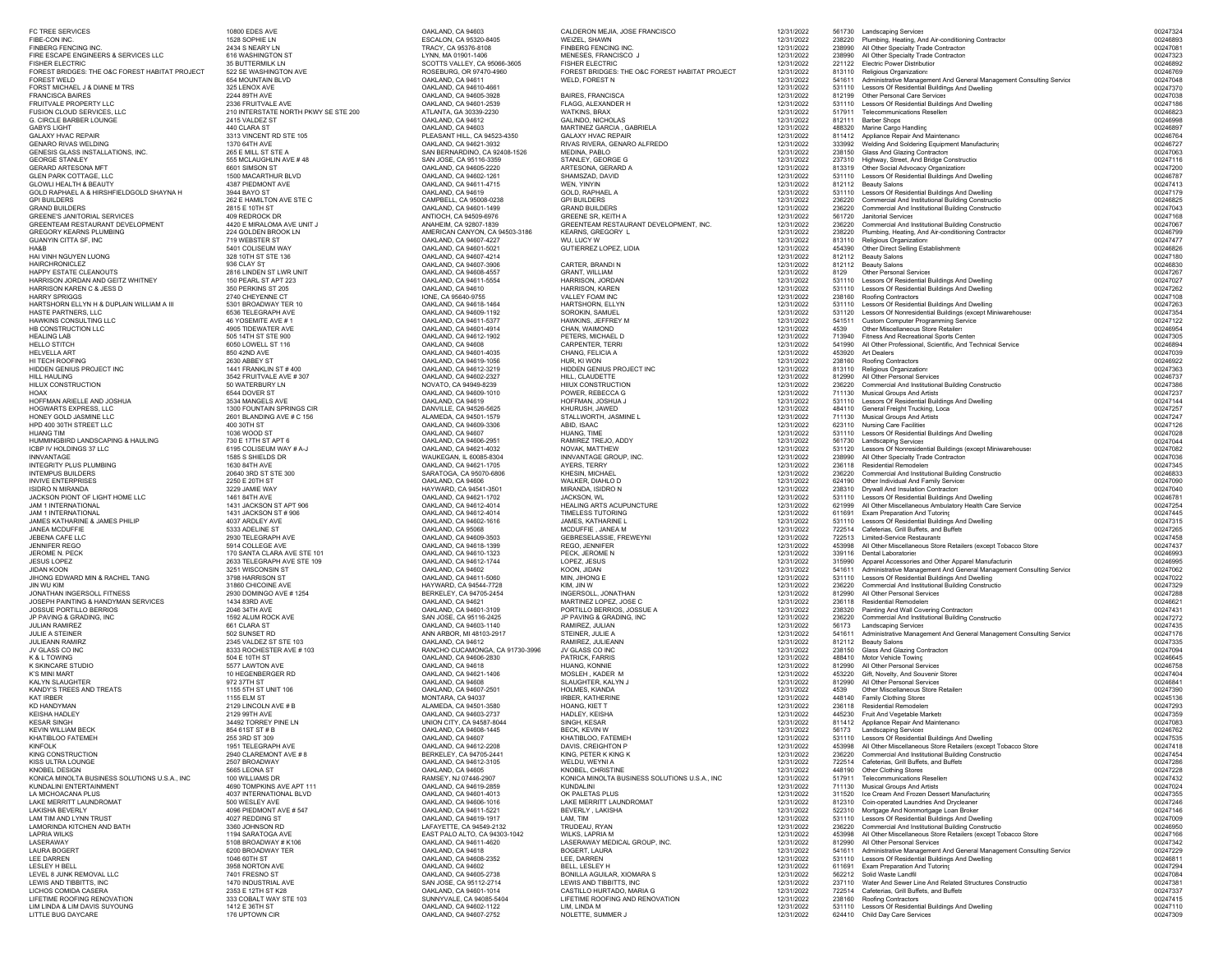**GABYS LIGHT<br>GALAXY HVAC REPAIR** GEORGE STANLEY<br>GERARD ARTESONA MFT GOLD RAPHAEL A & HIRSHFIELDGOLD SHAYNA H<br>GPI BUILDERS AND STE CHANNESTE CHAMILTON AVE STE C GREENE'S JANITORIAL SERVICES 409 REDROCK DR<br>GPEENTEAM PESTALIRANT DEVELOPMENT 4420 E MIRALOMA AVE LINIT L GREENTEAM RESTAURANT DEVELOPMENT 4420 E MIRALOMA AVE UNIT GREENTEAM RESTAURANT DEVELOPMENT 4420 E MIRALOMA AVE U<br>GREGORY KFARNS PI UMBING 4224 GOI DEN BROOK IN GREGORY KEARNS PLUMBING 224 GOLDEN BROOK LIGHT AND 224 GOLDEN BROOK CHANNEL 224 GOLDEN BROOK LIGHT AND 224 GOLDEN BROOK HAIRCHRONICLEZ 936 CLAY STHONEY GOLD JASMINE LLC<br>
HPD 400 30TH STREET LLC<br>
400 30TH STREET LLC<br>
400 30TH ST INTEGRITY PLUS PLUMBING 1630 84TH AVE OAKLAND, CA 94621-1705 AYERS, TERRYJULIE A STEINER<br>
JULIE A STEINER<br>
JULIEANN RAMIRZ<br>  $2345$  VALDEZ ST STE 103 NO HANDYMAN<br>KD HANDYMAN<br>KEISHA HADLEY 2129 99TH AVE # B KING CONSTRUCTION 2940 CLAREMONT AVE # 8 BERKELEY, CA 94705-2441 KING, PETER K KING K

JANEA MCDUFFIE 5334 ADELINE SA SONGLAND, CA 95068<br>JANEA MERINE ST OAKLAND, CA 94609-3503 MCDUFFIE , JANEA MERINE ST OAKLAND, CA 94609-3503 MCDUFFIE , JANEA M 12<br>2930 TELEGRAPH AVE ST OAKLAND, CA 94609-3503 MCDUFFIENCEYNI LAKE MERRITT LAUNDROMAT 500 WESLEY AVE OAKLAND, CA 94606-1016 LAKE MERRITT LAUNDROMAT 12/31/2022 812310 Coin-operated Laundries And Drycleaner 00247246

FC TREE SERVICES 10800 EDES AVE OAKLAND, CA 94603 CALDERON MEJIA, JOSE FRANCISCO 12/31/2022 561730 Landscaping Services 00247324 FIBE-CON INC. THE CON INCREASE AND TRACK ON THE SCALON, CA 95320-8405 WEIZEL, SHAWN 12011/2022 238220 Plumbing, Heating, And Air-conditioning Contractor 00246893<br>
FINEERG FENCING INCREASE THE SALON, CA 95376-8108 TRACY, CA FINBERG FENCING INC. 2434 S NEARY LN TRACY, CA 95376-8108 FINBERG FENCING INC. 12/31/2022 238990 All Other Specialty Trade Contractors 00247081 FIRE ESCAPE ENGINEERS & SERVICES LLC 616 WASHINGTON ST LYNN, MA 01901-1406 MENESES, FRANCISCO J 12/31/2022 238990 All Other Specialty Trade Contractors 00247323 FISHER ELECTRIC STRUCTRIC SUNTERMILK LN SCOTTS VALLEY, CA 95066-3605 FISHER ELECTRIC 12/31/2022 221122 Electric Power Distribution 00246892 FOREST BRIDGES: THE O&C FOREST HABITAT PROJECT SA BRIDGES: THE ORGANIZAT PROJECT AND SA THE ORGANIZAT AND SA THE ORGANIZAT AND SA THE ORGANIZAT AND SA THE ORGANIZAT AND SA THE ORGANIZAT AND SA THE ORGANIZAT AND SA THE ORGA FOREST WELD 654 MOUNTAIN BLVD OAKLAND, CA 94611 WELD, FOREST N 12/31/2022 541611 Administrative Management And General Management Consulting Service 00247048 FORST MICHAEL J & DIANE M TRS 325 LENOX AVE OAKLAND, CA 94610-4661 12/31/2022 531110 Lessors Of Residential Buildings And Dwelling 00247370 FRANCISCA BAIRES 2244 89TH AVE OAKLAND, CA 94605-3928 BAIRES, FRANCISCA 12/31/2022 812199 Other Personal Care Services 00247038 FRUITVALE PROPERTY LLC 2336 FRUITVALE AVE OAKLAND, CA 94601-2539 FLAGG, ALEXANDER H 12/31/2022 531110 Lessors Of Residential Buildings And Dwelling 00247186 TUSION CLOUD SERVICES, LLC 210 INTERSTATE NORTH PKWY SE STE 200 ATLANTA, GA 30339-2230 WATKINS, BRAX 20021 ATLANTA, GA 30339-2230 WATKINS, BRAX 20021 201212022 517911 Telecommunications Resellers 002468230 00246823<br>G. CIR G. CIRCLE BARBER LOUNGE 2415 VALDEZ ST OAKLAND, CA 94612 GALINDO, NICHOLAS 12/31/2022 812111 Barber Shops 00246998 440 CLARA ST OAKLAND, CA 94603 MARTINEZ GARCIA , GABRIELA 12/31/2022 488320 Marine Cargo Handling 00246897 GALAXY HVAC REPAIR 3313 VINCENT RD STE 105 PLEASANT HILL, CA 94523-4350 GALAXY HVAC REPAIR 12/31/2022 811412 Appliance Repair And Maintenance 00246764 GENARO MUSIC SUN SERVIT DE SUN SERVIT DE SUN DALAND, CA SHACI-3932 - RIVAS RUCHER, GENARO ALFREDO - 12/31/2022 23998 Weiding Equipment Manufacturin; 00246721 - 1023/987202 - 12/31/2022 - 23998 - 12/31/2022 - 23998 - 12/31/ 555 MCLAUGHLIN AVE # 48 SAN JOSE, CA 95116-3359 STANLEY, GEORGE G 12/31/2022 237310 Highway, Street, And Bridge Construction 00247116 GEORARD BULLET ON MANUSTRATON ON MANUSTRATON ON SUBSERVIEWS ON SUBSERVIEWS ON SUBSERVIEWS ON MANUSTRATOR ON MANUSTRATOR ON MANUSTRATOR ON MANUSTRATOR ON MANUSTRATOR ON MANUSTRATOR ON MANUSTRATOR ON MANUSTRATOR OR ORGANIZAT GLEN PARK COTTAGE, LLC 1500 MACARTHUR BLVD OAKLAND, AGARD, CA 94611-1261 SHAMSZAD, DAVID SHAMSZAD, DAVID DAVID 12/31/2022 512110 Lessors ORBidential Buildings And Dwelling OAGARD, 20047413<br>GLOWLI HEALTH & BEAUTY COLLECT AN GLOWLI HEALTH & BEAUTY 4387 PIEDMONT AVE OAKLAND, CA 94611-4715 WEN, YINYIN 12/31/2022 812112 Beauty Salons 00247413 OAKLAND, CA 94619 GOLD, RAPHAEL A 12/31/2022 531110 Lessors Of Residential Buildings And Dwelling 00247179 GPI BUILDERS 262 E HAMILTON AVE STE C CAMPBELL, CA 95008-0238 GPI BUILDERS 12/31/2022 236220 Commercial And Institutional Building Constructio 00246825 GRAND BUILDERS 2815 ENTHST 2815 ENTHST ON CHAND, CA 94609-1499 GRAND BUILDERS 2816 GRAND BUILDERS 2816222 2561220 COMMECIAL AND 1931/2022 256120 DOATABLICHERS 20247168<br>GREENE'S JANITORIAL SERVICES 409 REDROCK DRAMD DO24716 ANTIOCH, CA 94509-6976 GREENE SR, KEITH A 12/31/2022 561720 Janitorial Services 00247168 ANAHEIM, CA 92807-1839 GREENTEAM RESTAURANT DEVELOPMENT, INC. 12/31/2022 236220 Commercial And Institutional Building Constructio 00247067 AMERICAN CANYON, CA 94503-3186 KEARNS, GREGORY L 12/31/2022 238220 Plumbing, Heating, And Air-conditioning Contractor 00246799 GUANYIN CITTA SF, INC 719 WEBSTER ST OAKLAND, CA 94607-4227 WU, LUCY W 12/31/2022 813110 Religious Organizations 00247477 HABB 5401 COLISEUM WAY COLLINE COLLINE COLLINE COLLINE COLLINE COLLINE COLLINE COLLINE COLLINE COLLINE COLLINE<br>
HAIVINN NGUYEN LUONG 328 10TH ST 5401 COLLINE COLLINE COLLINE COLLINE COLLINE COLLINE COLLINE COLLINE COLLINE  $H$ AI VINH NGUYEN LUONG  $328\,10\, \text{TH}\, S\, \text{ST} \equiv 336\, 328\, 10\, \text{TH}\, S\, \text{ST} \equiv 136$   $00247\, 180\, 120\, 120\, 120\, 120\, 120\, 120\, 120\, 120\, 120\, 120\, 120\, 120\, 120\, 120\, 120\, 120\, 120\, 120\, 120\, 120$  OAKLAND, CA 94607-3906 CARTER, BRANDI N 12/31/2022 812112 Beauty Salons 00246830 HAPPY ESTATE CLEANOUTS 2816 LINDEN ST LWR UNIT OAKLAND, CA 94608-4557 GRANT, WILLIAM 12/31/2022 8129 Other Personal Services 00247267 HARRISON JORDAN AND GEITZ WHITNEY 150 PEARL ST APT 223 OAKLAND, CA 94611-5554 HARRISON, JORDAN 12/31/2022 531110 Lessors Of Residential Buildings And Dwelling 00247027 HARRISON KAREN C & JESS D 350 PERKINS ST 205 OAKLAND, CA 94610 HARRISON, KAREN 12/31/2022 531110 Lessors Of Residential Buildings And Dwelling 00247262 HARRY SPRIGGS 2740 CHEYENNE CT 2002 238160 DIVE, CA 95640-9755 VALLEY FOAM INC 2002 238160 Roofing Contractors 00247108 00247108 HARTSHORN ELLYN H & DUPLAIN WILLIAM A III 5301 BROADWAY TER 10 OAKLAND, CA 94618-1464 HARTSHORN, ELLYN 12/31/2022 531110 Lessors Of Residential Buildings And Dwelling 00247263 HASTE PARTNERS, LLC 6536 TELEGRAPH AVE OAKLAND, CA 94609-1192 SOROKIN, SAMUEL 12/31/2022 531120 Lessors Of Nonresidential Buildings (except Miniwarehouses 00247354 HAWKINS CONSULTING LLC 46 YOSEMITE AVE # 1 OAKLAND, CA 94611-5377 HAWKINS, JEFFREY M 12/31/2022 541511 Custom Computer Programming Service 00247122 HB CONSTRUCTION LLC 4905 TIDEWATER AVE OAKLAND, CA 94601-4914 CHAN, WAIMOND 12/31/2022 4539 Other Miscellaneous Store Retailers 00246954 нЕАLING LAB 505 14TH STE 9000 OAKLAND, CA 94612-1902 PETERS, MICHAEL D<br>HEALING LAB Finess And Recreational Sports Centers, MICHAEL 2014705 CARPENTER, THE SALLAND, CA 94601-4035 CHAN, CA 94601-4032 DETERS, MICHAEL D<br>HELUC HELLO STILL STOLOWELL ST 116 COMEND, ONLAND, CA 94601-40.5 CARPENTER, TERRIN STATE AND THE STATE AND AN ALLO STILL AND AN ALLO STILL AND AN ALLO STILL AND AN ALLO STILL AND SA AND AN ALLO STATE OUGLESS ONLY A SAN ALLO STA HI TECH ROOFING 2630 ABBEY ST OAKLAND, CA 94619-1056 HUR, KI WON 12/31/2022 238160 Roofing Contractors 00246922 HIDDEN GENIUS PROJECT INC 1441 FRANKLIN ST # 400 OAKLAND, CA 94612-3219 HIDDEN GENIUS PROJECT INC 12/31/2022 813110 Religious Organizations 00247363 HILL HAULING 3542 FRUITVALE AVE # 307 OAKLAND, CA 94602-2327 HILL, CLAUDETTE SAND ALL OLD DESCRIPTION DESCRIPTION DESCRIPTION DESCRIPTION DESCRIPTION DESCRIPTION DESCRIPTION DESCRIPTION DESCRIPTION DESCRIPTION DESCRIPTION HILUX CONSTRUCTION 50 WATERBURY LN NOVATO, CA 94949-8239 HIIUX CONSTRUCTION 12/31/2022 236220 Commercial And Institutional Building Constructio 00247386 HOAX 6544 DOVER ST OAKLAND, CA 94609-1010 POWER, REBECCA G 12/31/2022 711130 Musical Groups And Artists 00247237 HOFFMAN ARIELLE AND JOSHUA 3534 MANGELS AVE OAKLAND, CA 94619 HOFFMAN, JOSHUA J 12/31/2022 531110 Lessors Of Residential Buildings And Dwelling 00247144 HOGWARTS EXPRESS, LLC 1300 FOUNTAIN SPRINGS CIR DANVILLE, CA 94526-5625 KHURUSH, JAWED 12/31/2022 484110 General Freight Trucking, Loca 00247257 ALAMEDA, CA 94501-1579 STALLWORTH, JASMINE L 12/31/2022 711130 Musical Groups And Artists 00247247 HPD 400 30TH STREET LLC 400 30TH ST OAKLAND, CA 94609-3306 ABID, ISAAC 12/31/2022 623110 Nursing Care Facilities 00247126 HUANG TIM 1036 WOOD ST OAKLAND, CA 94607 HUANG, TIME 12/31/2022 531110 Lessors Of Residential Buildings And Dwelling 00247028 HUMMINGBIRD LANDSCAPING & HAULING 730 E 17TH ST APT 6 OAKLAND, CA 94606-2951 RAMIREZ TREJO, ADDY 12/31/2022 561730 Landscaping Services 00247044 ICBP IV HOLDINGS 37 LLC 6195 COLISEUM WAY # A-J OAKLAND, CA 94621-4032 NOVAK, MATTHEW 12/31/2022 531120 Lessors Of Nonresidential Buildings (except Miniwarehouses 00247082 NNVANTAGE 1585 SHIELDS DR WAUKEGAN, IL 60085-8304 INNVANTAGE GROUP, INC. 12/31/2022 238990 All Other Specialty Trade Contractor: 12/31/2022 1208990 All Other Specialty Trade Contractors 12/31/2022 1208990 All Other Special 12/31/2022 236118 Residential Remodelers<br>12/31/2022 236220 Commercial And Institutional Building Constructio 100246833 INTEMPUS BUILDERS 20640 3RD 20640 3RD SARATOGA, CA 95070-6806 202400-002400-002400-002400-002400-002400-002400-002400-002400-002400-002400-002400-002400-002400-002400-002400-002400-002400-002400-002400-002400-002400-002400 INVIVE ENTERPRISES 2250 E 20TH ST OAKLAND, CA 94606 WALKER, DIAHLO D 12/31/2022 624190 Other Individual And Family Services 00247090 ISIDRO N MIRANDA 3229 JAMIE WAY COLLECTION DEL HAYWARD, CA 94541-3501 MIRANDA, ISIDRO N 12/31/2022 238310 Drywall And Insulation Contractor: 00247040 00247040 00247040 00247040 00247040 12:00 12:00 12:00 12:00 12:00 12:00 JACKSON PIONT OF LIGHT HOME LLC 2000 20046781 2011. THE CHENOLOGY CONTROL THE CHENOLOGY DESCRIPTION CONTROLLED<br>JAM 1 INTERNATIONAL DIRECT 1461 84TH AVE 1461 84TH AVE 100246781 2012 00247254 2012 00247254 2012 2012 2012 2 JAM 1 INTERNATIONAL 1431 JACKSON ST APT 906 OAKLAND, CA 94612-4014 HEALING ARTS ACUPUNCTURE 12/31/2022 621999 All Other Miscellaneous Ambulatory Health Care Service 00247254 JAM 1 INTERNATIONAL 1431 JACKSON ST # 906 OAKLAND, CA 94612-4014 TIMELESS TUTORING 12/31/2022 611691 Exam Preparation And Tutoring 00247445 JAMES KATHARINE & JAMES PHILIP 1997 ARDLEY AVE ON THE CONTROLL ON THE CONTROLL ON THE CONTROLL ON THE CONTROLL ON THE CONTROLL ON THE CONTROLL ON THE CONTROLL ON THE CONTROLL ON THE CONTROLL ON THE CONTROLL ON THE CONTROLL JEBENA CAFE LLC 2930 TELEGRAPH AVE OAKLAND, CA 94609-3503 GEBRESELASSIE, FREWEYNI 12/31/2022 722513 Limited-Service Restaurants 00247458 JENNIFER REGO 5914 COLLEGE AVE COLLEGE AVE COLLEGE AVE COLLEGE AVE COLLEGE AVE COLLEGE AVE COLLEGE AVE COLLEGE AVE COLLEGE AVE COLLEGE AVE COLLEGE AVE COLLEGE AVE COLLEGE AVE COLLEGE AVE COLLEGE AVE COLLEGE AVE COLLEGE AVE JEROME N. PECK 170 SANTA CLARA AVE STE 101 OAKLAND, CA 94610-1323 PECK, JEROME N 12/31/2022 339116 Dental Laboratories 00246993 JESUS LOPEZ 2633 TELEGRAPH AVE STE 109 OAKLAND, CA 94612-1744 LOPEZ, JESUS 1200 OAKLAND, CA 94612-1744 LOPEZ, JESUS 1200 APPAREL 2022 315990 APPAREL APPAREL APPAREL APPAREL APPAREL APPAREL APPAREL APPAREL APPAREL APPAREL A JIDAN KOON MAND, AN ARRISON SAN SANG SANG DANG DAN SANG DANG DAN SANG DAN SANG DAN SANG DAN SANG DAN SANG DANG DAN<br>2014 JIHONG EDWARD MAN DANG DAN SANG DANG DANG DANG DAN SANG DANG DANG DAN SANG DANG DAN SANG DANG DANG DAN JIHONG EDWARD MIN & RACHEL TANG 3798 HARRISON ST ORDER OF THE SANGLE AND MINUTED AGAILABLE STOLEN AND SANGLE AND SANGLE AND SANGLE AND SANGLE AND SANGLE AND SANGLE AND SANGLE AND SANGLE AND DRUG AND DRUG AND DRUG AND DRUG JIN WU KIM 31860 CHICOINE AVE HAYWARD, CA 94544-7728 KIM, JIN W 12/31/2022 236220 Commercial And Institutional Building Constructio 00247329 JONATHAN INGERSOLL FITNESS 2930 DOMINGO AVE # 1254 BERKELEY, CA 94705-2454 INGERSOLL, JONATHAN 12/31/2022 812990 All Other Personal Services 00247288 JOSEPH PAINTING & HANDYMAN SERVICES 1434 83RD AVE OAKLAND, CA 94621 MARTINEZ LOPEZ, JOSE C 12/31/2022 236118 Residential Remodelers 00246621 JOSSUE PORTILLO BERRIOS OR AN ANNO 2046 34TH AVE ORDER DAN CAN DESCRIPTION DESCRIPTION DESCRIPTION DESCRIPTION DESCRIPTION DESCRIPTION DESCRIPTION DESCRIPTION DESCRIPTION DESCRIPTION DESCRIPTION OF A 12/31/2022 238320 Pai JP (NORM SERADUN ROCK AVE SAN UNIT DESCRIPTION ON SAN ANGLES AS SERADING, INC HANNIS (NORM SAN DRAIN DRAINING)<br>JULIAN RAMIREZ BEROLAN SERADA DESCRIPTION DESCRIPTION ON SAN DRAINING ASSANTED RAMIREZ, JULIAN RAMIREZ, JULIAN<br> ANN ARBOR, MI 48103-2917 STEINER, JULIE A 12/31/2022 12/31/2022 541611 Administrative Management And General Management Consulting Service 10247176<br>12/31/2022 61211 Administrative Management And General Management And Gene JULIEANN RAMIRZ 2345 VALDEZ ST STE 103 OAKLAND, CA 94612 RAMIREZ, JULIEANN 12/31/2022 812112 Beauty Salons 00247335 JV GLASS CO INC 8333 ROCHESTER AVE # 103 RANCHO CUCAMONGA, CA 91730-3996 JV GLASS CO INC 12/31/2022 238150 Glass And Glazing Contractors 00247094 K & L TOWING 504 E 10TH ST OAKLAND, CA 94606-2830 PATRICK, FARRIS 12/31/2022 488410 Motor Vehicle Towing 00246645 K SKINCARE STUDIO 5577 LAWTON AVE OAKLAND, CA 94618 HUANG, KONNIE 12/31/2022 812990 All Other Personal Services 00246758 K'S MINI MART NEGENBERGER RD OOP AN ALLAND, CA 94621-1406 MOSLEH , KADER M 12/31/2022 453220 Gift, Novelty, And Souvenir Stores 00247404 00247404 00247404 KALYN SLAUGHTER 972 37TH ST OAKLAND, CA 94608 SLAUGHTER, KALYN J 12/31/2022 812990 All Other Personal Services 00246841  $\,$ KANDY'S TREES AND TREATS  $\,$  1155 5TH ST UNIT 106  $\,$  OAKLAND, CA 94607-2501 HOLMES, KIANDA 12/31/2022 4539 Other Miscellaneous Store Retailer:  $\,$  00247390  $\,$ KAT IRBER 1155 ELM ST NONTARA, CA 94037 NONTARA, CA 94037 IRBER, KATHERINE 12/31/2022 448140 Family Clothing Stores 119/31/2022 12/31/2022 12/31/2022 12/31/2022 12/31/2022 12/31/2022 12/31/2022 12/31/2022 12/31/2022 12/31/ B ALAMEDA, CA 94501-3580 HOANG, KIET T 12/31/2022 236118 Residential Remodeler: 00247293 KEISHA HADLEY 2129 99TH AVE OAKLAND, CA 94603-2737 HADLEY, KEISHA 12/31/2022 445230 Fruit And Vegetable Markets 00247359 KESAR SINGH 34492 TORREY PINE LN UNION CITY, CA 94587-8044 SINGH, KESAR 12/31/2022 811412 Appliance Repair And Maintenance 12/31/2022 811412 Appliance Repair And Maintenance KEVIN WILLIAM BECK 854 61ST ST # B OAKLAND, CA 94608-1445 BECK, KEVIN W 12/31/2022 56173 Landscaping Services 00246762 ANATIBLOO FATEMEH 255 3RD ST 309 255 3RD ST 309 OAKLAND, CA 94607 ANATIBLOO, FATEMEH 2021/2022 531110 Lessors Of Residential Buildings And Dwelling<br>ANATIBLOO FATEMEH 12010021 ASS AND SENGLING ASS AND SENGLING AND ST 45398 KINFOLK 1951 TELEGRAPH AVE OR DAVIS ON DAVIS ON DAVIS OR DAVIS ORDER DAVIS ORDER AND DAVIS, CREIGHTON PROGRAPH AVE ORDER AND DAVIS ON DAVIS, CREIGHTON DAVIS ORDER AND DAVIS ORDER AND DAVIS ORDER AND DAVIS ON DAVIS, CONTROL 12/31/2022 236220 Commercial And Institutional Building Constructio 00247454 KISS ULTRA LOUNGE 2507 BROADWAY OAKLAND, CA 94612-3105 WELDU, WEYNI A 12/31/2022 722514 Cafeterias, Grill Buffets, and Buffets 00247286 KNOBEL DESIGN 5665 LEONA ST OAKLAND, CA 94605 KNOBEL, CHRISTINE 12/31/2022 448190 Other Clothing Stores 00247228 KONICA MINOLTA BUSINESS SOLUTIONS U.S.A., INC 100 WILLIAMS DR NAMSEY, NJ 07446-2907 KONICA MINOLTA BUSINESS SOLUTIONS U.S.A., INC 12/31/2022 517911 Telecommunications Resellers on the control of the material material contr KUNDALINI ENTERTAINMENT 4690 TOMPKINS AVE APT 111 OAKLAND, CA 94619-2859 KUNDALINI 12/31/2022 711130 Musical Groups And Artists 00247024 NOMINING THE MANUFAL MANUFAL MANUFAL DESCRIPTION ON THE CONTROLL ON THE CONTROLL ON THE CONTROLL ON THE CONTROLL ON THE CONTROLL ON THE CONTROLL ON THE CONTROLL ON THE CONTROLL ON THE CONTROLL ON THE CONTROLL ON THE CONTR LAKISHA BEVERLY MANDROX AND MANDROX DRUGAL BEVERLY, LAKISHA NOVID-12012022 522310 Mortgage And Nonmortgage Loan Broker (1991) 406 AMANDROX 4746<br>LAM TIM AND LYNN TRUST MANDROX STANDROX ODDING THE SAN MANDROX DRUGALING AND H LANOVIDAGA AVE UNIVERSIDAD DESTANDALITE DESTANDALITE DES PRODUCTIONS (NEUSAL PRODUCTION DES PRODUCTION DES PRODUCTION DES PRODUCTIONS ON THE PRODUCTION OF THE PRODUCTION OF THE PRODUCTION OF THE PRODUCTION OF THE PRODUCTIO  ${\sf LASERAWAY} \quad \rm 5108\,BROADWAY\,\#K106 \quad \rm 20247342 \quad \rm 204611-4620 \quad \rm LASERAWAY\,MEDICAL\,GROUP, INC. \quad \rm 12/31/2022 \quad \rm 812990\, All\, Other\,Personal\,Service \rm 12/31/2022 \quad \rm 22/322 \quad \rm 22/322 \quad \rm 22/322 \quad \rm 22/322 \quad \rm 22/322 \quad \rm 22/322 \quad \rm 22/322 \quad \rm 22/32$ LAURA BOGERT 6200 BROADWAY TER OAKLAND, CA 946181. POOLERT, LAURA 12000, INC. 12000, INC. 12000, INC. 2000 BOGERT, LAURA 12/31/2022 541611 Administrative Management And General Management And General Management Consulting LEE DARREN 1046 1046 60TH ST OAKLAND, AG ANGLO-2022 LEE, DARREN 1046 1211/2022 LEE DARREN 12/31/2022 DARREN 12/31/2022 DARREN 12/31/2022 DARREN 12/31/2022 DARREN 12/31/2022 DARREN 12/31/2022 DARREN 12/31/2022 DARREN 12/31/ LESLEY H BELL 3958 NORTON AVE OAKLAND, CA 94602 BELL, LESLEY H 12/31/2022 611691 Exam Preparation And Tutoring 00247294 LEVEL 8 JUNK REMOVAL LLC 7401 FRESNO ST OAKLAND, CA 94605-2738 BONILLA AGUILAR, XIOMARA S 12/31/2022 562212 Solid Waste Landfil 00247084 LEWIS AND TIBBITTS, INC 1470 INDUSTRIAL AVE SAN JOSE, CA 95112-2714 LEWIS AND TIBBITTS, INC 12/31/2022 237110 Water And Sewer Line And Related Structures Constructio 00247381 LICHOS COMIDA CASERA 2353 E 12TH ST K28 OAKLAND, CA 94601-1014 CASTILLO HURTADO, MARIA G 12/31/2022 722514 Cafeterias, Grill Buffets, and Buffets 00247337 LIFETIME ROOFING RENOVATION 333 COBALT WAY SUND AND RENOVATION SUNNYVALE, CA 94085-5404<br>DISCRETION 2021 AND RENOVATION 3342 COBALT WAY SUNNYVALE, CA 940935-5404<br>LIFETIME ROOFING AND RENOVATION 20247415, 20247415, 20247415, LIM LINDA BUILDING THE SERVICE STREET THE SERVICE ON THE SERVICE SERVICES ON THE SERVICE SURFACE AND SURFACE SURFACE SURFACE AND SURFACE AND SURFACE AND SURFACE OF RESPONSIBLE AND DRIVING AND DRIVING AND DRIVING AND DRIVIN LITTLE BUG DAYCARE 176 UPTOWN CIR OAKLAND, CA 94607-2752 NOLETTE, SUMMER J 12/31/2022 624410 Child Day Care Services 00247309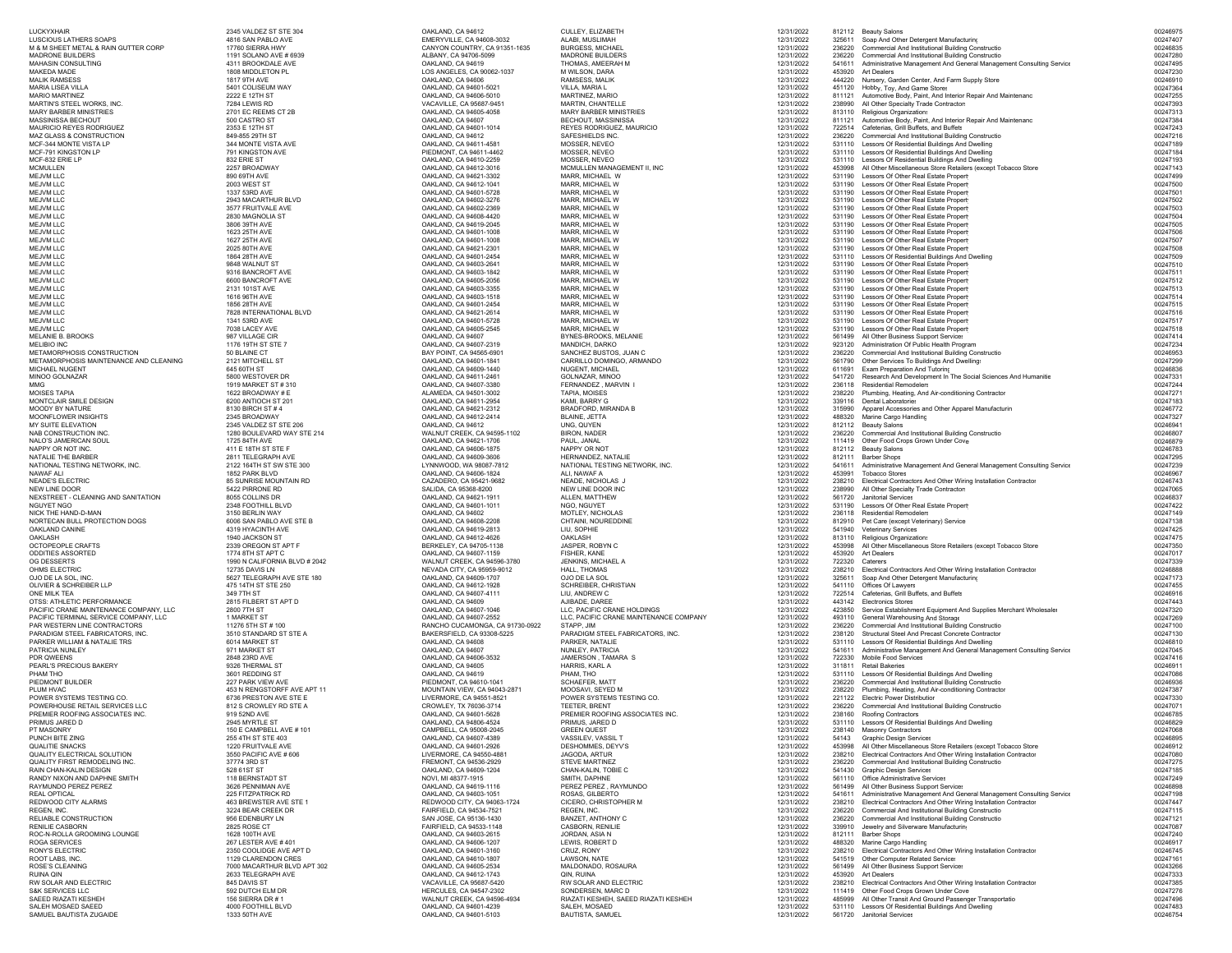MOISES TAPIA 1622 BROADWAY # E NAPPY OR NOT INC. 411 E 18TH ST STE F OAKLAND, CA 94606-1875 NAPPY OR NOTNGUYET NGO<br>NICK THE HAND-D-MAN RONY'S ELECTRIC 2350 COOLIDGE AVE APT D 2000 CONTROL 2000 CRUZ, RONY CONTROL 2000 CRUZ, RONY 2000 CRUZ, RONY 2<br>2350 COOLIDGE AVE APT D 2000 CRUZ, RONY CALLAND, CA 94601-3160 CRUZ, RONY<br>2129 CLARENDON DRES DAN ALTE RUINA QIN 2633 TELEGRAPH AVE CHARA DAN RUINA CA 94612-1743 QIN, RUINA QIN 2001, RUINA CHARA DAN 2633 TELEGRAPH AVE<br>2633 TELEGRAPH AVE ON STRUINA DAN DAN STRUIN DAN DAN DAN DAN DAN DAN DAN RUINA DAN RUINA AND ELECTRIC

 $1191$  SOLANO AVE # 6939

LUCKYXHAIR 2345 VALDEZ ST STE 304 OAKLAND, CA 94612 CULLEY, ELIZABETH 12/31/2022 812112 Beauty Salons 00246975 LUSCIOUS LATHERS SOAPS 4816 SAN PABLO AVE EMERYVILLE, CA 94608-3032 ALABI, MUSLIMAH 12/31/2022 325611 Soap And Other Detergent Manufacturing 00247407 M & M SHEET METAL & RAIN GUTTER CORP 17760 SIERRA HWY CANYON COUNTRY, CA 91351-1635 BURGESS, MICHAEL 12/31/2022 236220 Commercial And Institutional Building Constructio 00246835 ALBANY, CA 94706-5099 MADRONE BUILDERS 100247280 MADRONE BUILDERS 12/31/2022 236220 Commercial And Institutional Building Constructio 120147980<br>12/31/2022 541611 Administrative Management And General Management And General MAHASIN CONSULTING 4311 BROOKDALE AVE OAKLAND, CA 94619 THOMAS, AMEERAH M 1211/2022 451611 Administrative Management And General Management Consulting Service 541611 Administrative 10247295 454611 Administrative Management MAKEDA MADE 1808 MIDDLETON PL LOS ANGELES, CA 90062-1037 M WILSON, DARA 12/31/2022 453920 Art Dealers 00247230 MALIK RAMSESS 1817 9TH AVE OAKLAND, CA 94606 RAMSESS, MALIK 12/31/2022 444220 Nursery, Garden Center, And Farm Supply Store 00246910 MARIA LISEA VILLA 12/31/2022 451120 Hobby, Toy, And Game Stores 12/31/2022 451120 Hobby, Toy, And Game Stores 12/31/2022 451120 Hobby, Toy, And Game Stores 12/31/2022 451120 Hobby, Toy, And Game Stores 12/31/2022 1451120 MARIO MARTINEZ 2002 E 2022 E 2022 E 2022 E 2022 E 2022 E 2022 E 2022 E 2022 E 2022 E 2022 E 2022 E 2022 E 2022<br>MARTIN STRELWORKS. INC. 2022 E 2022 E 2024 AUTO 2024 AUTO 2024 AUTO 2024 AUTO 2024 AUTO 2024 AND 2024 2023 AUTO MARTIN'S STEEL WORKS, INC. 2006. NOCAL 2008 2009 ALL ON STEEL WORKS, INC. 2008 2009 ALL ON STEEL WORKS, INC. 2009 2009 ALL ON STEEL WORKS, INC. 2009 2009 ALL ON STEEL WORKS, INC. 2009 2009 ALL ON STEEL WORKS, INC. 2009 200 MARY BARBER MINISTRIES 2701 EC REEMS CT 2B OAKLAND, CA 94605-4058 MARY BARBER MINISTRIES 12/31/2022 813110 Religious Organizations 00247313 MASSINISSA BECHOUT 500 CASTRO STRO STATES ON CASTRO SA SAND, CA 94607 BECHOUT, MASSINISSA BECHOUT, MASSINISSA 12121/2022 811121 Automotive Body, Paint, And Interior Repair And Maintenanc 2023/743847923472847 Automotive Bod MAURICIO REYES RODRIGUEZ 2353 E12TH ST OAKLAND, ADALAND, CA 94612-1014 REYES RODRIGUEZ, MAURICIO REYES RODRIGUEZ, MAURICIO REYES RODRIGUEZ, AND REYES RODRIGUEZ, 2025 AND 2021/2022 235220 Commercial And Institutional Buildi Mazion 841-841-855, 2012 Sanctanal Building Construction 849-955 MCF-344 MONTE VISTA LP 344 MONTE VISTA AVE OAKLAND, CA 94611-4581 MOSSER, NEVEO 12/31/2022 531110 Lessors Of Residential Buildings And Dwelling 00247189 MCF-791 KINGSTON LP 791 KINGSTON AVE PIEDMONT, CA 94611-4462 MOSSER, NEVEO 12/31/2022 531110 Lessors Of Residential Buildings And Dwelling 00247184 MCF-832 ERIE LP 832 ERIE ST OAKLAND, CA 94610-2259 MOSSER, NEVEO 12/31/2022 531110 Lessors Of Residential Buildings And Dwelling 00247193 MCMULLEN 2257 BROADWAY OR DESIGNEN DAKLAND, CA 94621-3016 MCMULLEN MANAGEMENT II, INC 120112022 433998 AIDMIT MAGEMENT OR DESIGNES (EXCEPT AND DESIGNES ALL OUR DESIGNES ALL OTHER MISCELLA DESIGNES AND DESIGNES AND DESIGNES MEJVM LLC 890 69TH AVE OAKLAND, CA 94621-3302 MARR, MICHAEL W 53112022 531190 Lessors Of Other Real Estate Property 00247499 MEJVM LLC 2003 WEST ST 2003 WEST ST 2003 WEST ST 2003 WEST ST 2003 WEST ST 2003 WEST ST 2004 KLAND, CA 94612-1041 MARR, MICHAEL W 20047RD 2002 12/31/2022 531190 Lessors Of Other Real Estate Propert MEJVM LLC 1337 53RD AVE OAKLAND, CA 94601-5728 MARR, MICHAEL W 12/31/2022 531190 Lessors Of Other Real Estate Property 00247501 MEJVM LLC 2943 MACARTHUR BLVD OAKLAND, CA 94602-3276 MARR, MICHAEL W 12/31/2022 531190 Lessors Of Other Real Estate Property 00247502<br>MEJVM LLC 2020-2022-2022 12/31/2022 531190 Lessons 2020-2020 DANIA DAN DAN MARR MICHAEL MEJV Lessors Of Other Real Estate Property Marry, MICHAEL W North Care and State Property of Marry, MICHAEL W<br>12/31/2022 531190 Lessors Of Other Real Estate Property MARR, MICHAEL W 12/31/2022 531190 Lessors Of Other Real MEJVM LLC 2830 MAGNOLIA ST OAKLAND, CA 9460-4420 MARR, MICHAEL W 12/31/2022 531190 Lessors Of Other Real Estate Property 12/31/2022 531190 Lessors Of Other Real Estate Property 00247504 2021/2023 00247504 2021/2023 0024750 MEJVM LLC 3806 39TH AVE OAKLAND, CA 94619-2045 MARR, MICHAEL W 12/31/2022 531190 Lessors Of Other Real Estate Property 00247505 MEJVM LLC 1623 25TH AVE OAKLAND, CA 94601-1008 MARR, MICHAEL W 12/31/2022 531190 Lessors Of Other Real Estate Property 00247506 MEJVM LLC 1627 25TH AVE OAKLAND, CA 94601-1008 MARR, MICHAEL W 12/31/2022 531190 Lessors Of Other Real Estate Property 00247507 MEJVM LLC 2025 80TH AVE OAKLAND, CA 94621-2301 MARR, MICHAEL W 12/31/2022 531190 Lessors Of Other Real Estate Property 00247508 MEJVM LLC 1864 2011 NEWSLAU AND 2017 OR DEALLAND, CA 94601-2454 MARR, MICHAEL W 1211/2022 531110 Lessors Of Cher Real Estate Properti<br>MEJVM LLC 1994 AND 2024 MARR, DEALLAND, CA 94601-2454 MARR, MICHAEL W 12/31/2022 531190 MEJVM LLC 9848 WALNUT ST OAKLAND, CA 94603-2641 MARR, MICHAEL W 12/31/2022 531190 Lessors Of Other Real Estate Property 00247510 MEJVM LLC 9316 BANCROFT AVE OAKLAND, CA 94603-1842 MARR, MICHAEL W 12/31/2022 531190 Lessors Of Other Real Estate Property 00247511 MEJVM LLC 6600 BANCROFT AVE OAKLAND, CA 94605-2056 MARR, MICHAEL W 12/31/2022 531190 Lessors Of Other Real Estate Property 00247512 MEJVM LLC 2131 101ST AVE 2131 101ST AVE 2024 THE STATE OAKLAND, CA 94603-3355 MARR, MICHAEL W 2024 2021/2022 531190 Lessors Of Other Real Estate Property 2024 2031 12031/2022 20:31190 Lessors Of Other Real Estate Property MEJVM LLC 1616 96TH AVE OAKLAND, CA 94603-1518 MARR, MICHAEL W 12/31/2022 531190 Lessors Of Other Real Estate Property 00247514 MEJVM LLC 1856 28TH AVE OAKLAND, CA 94601-2454 MARR, MICHAEL W 12/31/2022 531190 Lessors Of Other Real Estate Property 00247515 MEJVM LLC 7828 INTERNATIONAL BLVD OAKLAND, CA 94621-2614 MARR, MICHAEL W 12/31/2022 531190 Lessors Of Other Real Estate Property 00247516 MEJVM LLC 1341 53RD AVE OAKLAND, CA 94601-5728 MARR, MICHAEL W 12/31/2022 531190 Lessors Of Other Real Estate Property 00247517 MEJVM LLC 7038 LACEY AVE OAKLAND, CA 94605-2545 MARR, MICHAEL W 12/31/2022 531190 Lessors Of Other Real Estate Property 00247518 MELANIE B. BROOKS 987 VILLAGE CIR OAKLAND, CA 94607 BYNES-BROOKS, MELANIE 12/31/2022 561499 All Other Business Support Services 00247414 MELIGION MENSION SERVIT SERVIT SERVIT DESCRIPTION ON MANUAL SERVIT DATA SERVIT DATA SERVIT DESCRIPTION DESCRIPTION DESCRIPTION DESCRIPTION DESCRIPTION DESCRIPTION DESCRIPTION DESCRIPTION DESCRIPTION DESCRIPTION DESCRIPTION METAMORPHOSIS MAINTENANCE AND CLEANING 2121 MITCHELL ST CARRILLO DAKLAND, CA 94601-1841 CARRILLO DOMINGO, ARMANDO 12/31/2022 561790 Other Services To Buildings And Dwelling MICHAEL NUGENT 645 60TH ST OAKLAND, CA 94609-1440 NUGENT, MICHAEL 12/31/2022 611691 Exam Preparation And Tutoring 00246836 MINOO GOLNAZAR 5800 WESTOVER DR SEGOV DR SAND, CA 94611-2461 GOLNAZAR, MINOO SOLNAZAR, MINOO SOLNAZAR, MINOO SOLNAZAR, MINOO 12/31/2022 541720 Research And Development In The Social Sciences And Humanitie 1913 MARKET ST #3 MMG 1919 MARKET ST # 310 OAKLAND, CA 94607-3380 FERNANDEZ , MARVIN I 12/31/2022 236118 Residential Remodelers 00247244 00247244 ALAMEDA, CA 94501-3002 TAPIA, MOISES 12/31/2022 238220 Plumbing, Heating, And Air-conditioning Contractor 00247271 MONTCLAIR SMILE DESIGN 6200 ANTIOCH ST 201 OAKLAND, CA 94611-2954 KAMI, BARRY G 12/31/2022 339116 Dental Laboratories 0024718394 00247183  $\textsf{MOON} \times \textsf{MANDR} = \textsf{MODV} \times \textsf{MNDR} = \textsf{MODV} \times \textsf{MNDR} = \textsf{MODV} \times \textsf{MNDR} = \textsf{MODV} \times \textsf{MNDR} = \textsf{MODV} \times \textsf{MNDR} = \textsf{MODV} \times \textsf{MNDR} = \textsf{MODV} \times \textsf{MNDR} = \textsf{MODV} \times \textsf{MNDR} = \textsf{MODV} \times \textsf{MNDR} = \textsf{MODV} \times \textsf{MNDR} = \textsf{MODV} \times \text$ MOONFLOWER INSIGHTS 2345 BROADWAY OAKLAND, CA 94612-2414 BLAINE, JETTA 12/31/2022 488320 Marine Cargo Handling 00247327 MY SUITE ELEVATION 2345 VALDEZ ST STE 206 2345 VALDEZ STE 206 OAKLAND, CA 94612 UNG, QUYEN UNG, QUYEN 21/31/2022 812112 Beauty Salons 20246941 20246941 NAB CONSTRUCTION INC. 2008 DOLLEVARD WAS TRANSPORTED TO MANUT CREEK, CA 94595-1102 BIRON, NADER 2008 CONSTRUCTION INC. 2008 236220 Commercial And Institutional Building Constructio 2022 236220 Commercial And Institutional NALO'S JAMERICAN SOUL 1725 84TH AVE PAUL, JANAL 12/31/2022 111419 Other Food Crops Grown Under Cove 00246879 12/31/2022 812112 Beauty Salons 00246783 NATALIE THE BARBER 2811 TELEGRAPH AVE OAKLAND, CA 94609-3606 HERNANDEZ, NATALIE 12/31/2022 812111 Barber Shops 00247295 NATIONAL TESTING NETWORK, INC. 2122 164TH ST SW STE 300 LYNNWOOD, WA 98087-7812 NATIONAL TESTING NETWORK, INC. 12/31/2022 541611 Administrative Management And General Management Consulting Service 00247239 NAWAF ALI 1852 PARK BLVD OAKLAND, CA 94606-1824 ALI, NAWAF A 12/31/2022 453991 Tobacco Stores 00246967 NEADLE SUNNER AN MANUS (NOT MANUS AND THE SUNNER AND SALL AND SALL AND SALL AND SALL AND SALL AND SALL AND SALL AND SALL AND SALL AND SALL AND SALL AND SALL AND SALL AND SALL AND SALL AND SALL AND SALL AND SALL AND SALL AN NEXSTREET - CLEANING AND SANITATION 8055 COLLINS DR OO246837 ALLEN, DAKLAND, CA 94621-1911 ALLEN, MATTHEW 12/31/2022 561720 Janitorial Services 661720 ARLEN, DATE DO246837 ALLEN, DO246837 ALLEN, DATE DO246837 ALLEN, DATE D 2348 FOOTHILL BLVD OAKLAND, CA 94601-1011 NGO, NGUYET 12/31/2022 531190 Lessors Of Other Real Estate Property 00247422 NICK THE HAND-D-MAN 3150 BERLIN WAY OAKLAND, CA 94602 MOTLEY, NICHOLAS 12/31/2022 236118 Residential Remodelers 00247149 NORTECAN BULL PROTECTION DOGS 6006 SAN PABLO AVE STE B OAKLAND, CA 94608-2208 CHTAINI, NOUREDDINE 12/31/2022 812910 Pet Care (except Veterinary) Services 00247138 OAKLAND CANINE 4319 HYACINTH AVE OAKLAND, CA 94619-2813 LIU, SOPHIE 12/31/2022 541940 Veterinary Services 00247425 OAKLASH 1940 JACKSON ST OAKLAND, CA 94612-4626 OAKLASH 12/31/2022 813110 Religious Organizations 00247475 OCTOPEOPLE CRAFTS 2339 OREGON STAPT F ERKELEY, CA 94705-1138 JASPER, ROBYN C 2004 2012 2022 453998 All Other Miscellaneous Store Retailers (except Tobacco Store 00247350 00247350 00247350 DAKLAND, CA 94607-1138 JASPER, RAN ODDITIES ASSORTED 1774 8TH ST APT C 1774 8TH ST APT C COAKLAND, CA 94607-1159 FISHER, KANE 12/31/2022 453920 Art Dealers 12/31/2022 453920 Art Dealers 00247017 OG DESSERTS 1990 N CALIFORNIA BLVD # 2042 WALNUT CREEK, CA 94596-3780 JENKINS, MICHAEL A 12/31/2022 722320 Caterers 00247339 OHMS ELECTRIC CONTROL TRISTED AND THE RELATIONS TO A THE RELATIONS CONTROLLED THE RELATIONS CONTROLLED THE RELATIONS CONTROLLED THE RELATIONS CONTROLLED THE RELATIONS CONTRACTOR CONTRACTOR THALL, THOMAS THE RELATIONS CONTR OJO DE LA SOL, INC. THE SOLUTION OF THE SOLUTION OF THE SOLUTION OF THE SOLUTION OF THE SOLUTION OF THE SOLUTION OF THE SOLUTION OF THE SOLUTION OF THE SOLUTION OF THE SOLUTION OF THE SOLUTION OF THE SOLUTION OF THE SOLUTI OLIVIER & SCHREIBER LLP 475 14TH ST STE 250 OAKLAND, CA 94612-1928 SCHREIBER, CHRISTIAN 12/31/2022 541110 Offices Of Lawyers 00247455 ONE MILK TEA 349 7TH ST 200246916 DAKLAND, CA 94607-4111 LIU, ANDREW C 200246916 DAKLAND, CA 94607-4111 LIU, ANDREW C 200246916 DAKLAND, CA 94607-4111 DAKLAND, CA 94607-4111 LIU, ANDREW C 200246916 DAKLAND, CA 946916 DAKLA OTSS: ATHLETIC PERFORMANCE 2815 FILBERT ST APT D OAKLAND, CA 94609 AJIBADE, DAREE 12/31/2022 443142 Electronics Stores 00247443 PACIFIC CRANE MAINTENANCE COMPANY, LLC 2800 7TH ST ORD THE ST ORD SOLUTION, CA 94607-1046 LLC, PACIFIC CRANE HOLDINGS COMPANY AND SOLUTION CONTROLLED AND SOLUTION ON THE ST ORD SERVICE CRANE MAINTENANCE COMPANY AND SUPPLI PACIFIC TERMINAL SERVICE COMPANY, LLC 1 MARKET ST OAKLAND, CA 94607-2552 LLC, PACIFIC CRANE MAINTENANCE COMPANY 12/31/2022 493110 General Warehousing And Storage 00247269 PAR WESTERN LINE CONTRACTORS 11276 5TH ST # 100 RANCHO CUCAMONGA, CA 91730-0922 STAPP, JIM 12/31/2022 236220 Commercial And Institutional Building Constructio 00247100 PARADIGM STEEL FABRICATORS, INC. 3510 STANDARD ST STE A BAKERSFIELD, CA 93308-5225 PARADIGM STEEL FABRICATORS, INC. 12/31/2022 238120 Structural Steel And Precast Concrete Contractor 00247130 PARKER WILLIAM ANTALIE TRS 1989 – 1989 – 1989 – 1989 – 1989 – 1989 – 1989 – 1989 – 1989 – 1989 – 1989 – 1989 – 1989 – 1989 – 1989 – 1989 – 1989 – 1989 – 1989 – 1989 – 1989 – 1989 – 1989 – 1989 – 1989 – 1989 – 1989 – 1989  $\begin{tabular}{c} \textbf{PATRICI A UNILEY}\\ \textbf{PATRICI A UNILEY}\\ \textbf{POR QWE} \end{tabular} \begin{tabular}{c} \textbf{PATRICI A UNILEY} \end{tabular} \begin{tabular}{c} \textbf{PATRICI A UNILEY} \end{tabular} \begin{tabular}{c} \textbf{PATRICI A UNILEY} \end{tabular} \begin{tabular}{c} \textbf{PATRICI A UNILEY} \end{tabular} \end{tabular} \begin{tabular}{c} \textbf{PATRICI A UNILEY} \end{tabular} \begin{tabular}{c} \textbf{PATRICI$ PDR QWEENS 2848 23RD AVE OAKLAND, CA 94606-3532 JAMERSON , TAMARA S 12/31/2022 722330 Mobile Food Services 00247416 PEARL'S PRECIOUS BAKERY 9326 THERMAL ST OAKLAND, CA 94605 HARRIS, KARL A 12/31/2022 311811 Retail Bakeries 00246911  $\begin{tabular}{c|c|c|c|c|c|c|c} \multicolumn{4}{c|c|c|c|c} \multicolumn{4}{c|c|c|c} \multicolumn{4}{c|c|c|c} \multicolumn{4}{c|c|c|c} \multicolumn{4}{c|c|c|c} \multicolumn{4}{c|c|c|c} \multicolumn{4}{c|c|c|c} \multicolumn{4}{c|c|c|c} \multicolumn{4}{c|c|c|c} \multicolumn{4}{c|c|c|c} \multicolumn{4}{c|c|c|c} \multicolumn{4}{c|c|c|c} \multicolumn{4}{c|c|c|c} \mult$ PIEDMONT BULLER AN A SECULAR WAS DRAINING AND THE PROSECT AND THE RELATION ON THE SECTION ON THE SECTION OF A SAME AN A SECTION OF A SECTION OF A SAME OUTLING A SAME ON A SAME OUTLING A SAME ON A SAME ON A SAME OUTLING A S POWER SYSTEMS TESTING CO. 6736 PRESTON AVE STE E LIVERMORE, CA 94551-8521 POWER SYSTEMS TESTING CO. 12/31/2022 221122 Electric Power Distribution 002473300 00247330 POWERHOUSE RETAIL SERVICES LLC 812 S CROWLEY RD STE A CROWLEY, TX 76036-3714 TEETER, BRENT 12/31/2022 236220 Commercial And Institutional Building Constructio 00247071 PREMIER ROOFING ASSOCIATES INC. 919 52ND AVE OAKLAND, CA 94601-5628 PREMIER ROOFING ASSOCIATES INC. 12/31/2022 238160 Roofing Contractors 00246785 PRIMUS JARED D 2945 MYRTLE ST OAKLAND, CA 94806-4524 PRIMUS, JARED D 12/31/2022 531110 Lessors Of Residential Buildings And Dwelling 00246829 PT MASONRY 238140 Masonry Contractors 450 E CAMPBELL AVE # 101 CAMPBELL, CA 95008-2045 GREEN QUEST CONTRACTORS 42/31/2022 238140 Masonry Contractors 00247068 00247068 PUNCH BITE ZING 255 4TH ST STE 403 OAKLAND, CA 94607-4389 VASSILEV, VASSIL T 12/31/2022 54143 Graphic Design Services 00246895 QUALITIE SNACKS 1220 FRUITVALE AVE OAKLAND, CA 94601-2926 DESHOMMES, DEYV'S 12/31/2022 453998 All Other Miscellaneous Store Retailers (except Tobacco Store 00246912  $\mathsf{QUALITY}$   $\mathsf{QUALITY}$   $\mathsf{QUALITY}$  and  $\mathsf{QUALITY}$  and  $\mathsf{QUALITY}$  and  $\mathsf{QUALITY}$  are capital contractors and  $\mathsf{QUALITY}}$  and  $\mathsf{QUALITY}$  and  $\mathsf{QUALITY}$  and  $\mathsf{QUALYZ}$  and  $\mathsf{QUALYZ}$  and  $\mathsf{QUALYZ}$  and  $\mathsf{QUALYZ}$  a QUALITY FIRST REMODELING INC. CONSULTED STEVE STEVE AND STEVE MARTINEZ STEVE MARTINEZ STEVE ARTINEZ STEVE ARTINEZ STEVE ARTINEZ STEVE AND STEVE AND STEVE AND STEVE AND STEVE AND STEVE MARTINEZ STEVE AND STEVE AND STEVE AN RAIN DESIGN DESCRIPTION ON SERVICES ON OAKLAND, CA A4609-1204 CHAN-KALIN, TOBIE CHAN-KALIN, TOBIE CHAN-KALIN, TOBIE CHAN-KALIN DESCRIPTION ON TAND ORDER SANTHALIN, THE SANTHALINE OLD A THAN-KALIN DESCRIPTION OF A SANTHALIN RAYMUNDO PEREZ PEREZ SAGE SEGRIMMAN AVE ON ANALOGION DESTREZ PROMUNDO DE SAGEZ, RAYMUNDO DE SAGE EN 1201/2022 541499 AID:ne SAGE AND DESTREZ DESTREZ DESTREZ DESTREZ DESTREZ DESTREZ DESTREZ DESTREZ DESTREZ DESTREZ DES DES D REDWOOD CITY ALARMS 463 BREWSTER AVE STE 1 REDWOOD CITY, CA 94063-1724 CICERO, CHRISTOPHER M 12/31/2022 238210 Electrical Contractors And Other Wiring Installation Contractor 00247447 CICERO, CHRISTOPHER M CICERO, CHRISTOP REGEN, INC. TRIGEN, INC. THE SECRET AND REGEN, INC. AND REGEN, INC. AND REGEN, INC. THE SECRET AND REGEN, INC. AND REGEN, INC. 2012 236220 Commercial And Institutional Building Constructio and the SALET AND SALET AND SALET RELIABLE CONSTRUCTION 956 EDENBURY LN SAN JOSE, CA 950-1202 - PARTET, AND PARTET, ANTHONY CONSTRUCTION DEALER CONSTRUCTION 978-12/31/2022 236220 COMMERCIAL AND INSTITUTION DEALER DEALER AND INSTITUTION ON DEALER PARTET ON RENILIE CASBORN 2825 ROSE CT CHE CONSERVERS CONSERVERS AND RENILIE CASBORN, RENILIE CASBORN, RENILIE 2002 200910 Jewelry and Silverware Manufacturing 2002 200910 12/31/2022 200910 Jewelry and Silverware Manufacturing 20024 ROC-N-ROLLA GROOMING LOUNGE 1628 100TH AVE 1628 100TH AVE OAKLAND, CA 94603-2615 JORDAN, ASIA N 12/31/2022 812111 Barber Shops 00247240 912/31/2022 812111 Barber Shops 00247240 912/31/2022 812111 Barber Shops 00247240 ROGA SERVICES 267 LESTER AVE # 401 OAKLAND, CA 94606-1207 LEWIS, ROBERT D 12/31/2022 488320 Marine Cargo Handling 00246917 12/31/2022 238210 Electrical Contractors And Other Wiring Installation Contractor<br>12/31/2022 238210 Electrical Contractors And Other Wiring Installation Contractor 00246745<br>12/31/2022 541519 Other Computer Related Service: ROOT LABS, INC. No. 2002 2003 129 CLARENDON CRES 200247161 DAKLAND, CA 94610-1807 LAWSON, NATE 12/31/2022 541519 Other Computer Related Service: 2002-17161 2031/2022 541519 Other Computer Related Service: 2002-17161 ROSE'S CLEANING 7000 MACARTHUR BLVD APT 302 OAKLAND, CA 94605-2534 MALDONADO, ROSAURA 12/31/2022 561499 All Other Business Support Services 00243266 12/31/2022 453920 Art Dealers 00247333 RW SOLAR AND ELECTRIC 845 DAVIS TO SALAR AND RESULTED SA SECTRIC SA SECTRIC ROBOTATION CONTROLLE, CA 95687-5420<br>RW SERVICES I.C. DELECTRICAL CONTRACTORS AND ELECTRICAL CONTRACTORS AND DELECTRICAL CONTROLLED AND ANNO 2021-2 S&K SERVICES LLC 592 DUTCH ELM DR HERCULES, CA 94547-2302 SONDERSEN, MARC D 12/31/2022 111419 Other Food Crops Grown Under Cove 00247276 SAEED RIAZATI KESHEH 156 SIERRA DR # 1 WALNUT CREEK, CA 94596-4934 RIAZATI KESHEH 156 SAEED RIAZATI KESHEH 11 WALNUT CREEK, CA 94596-4934 RIAZATI KESHEH 12/31/2022 485999 All Other Transit And Ground Passenger Transportati SALEH MOSAED SAEED SAEED SAEED SAEED OOSTAND, CA 94601-4239 SAEED SAEED SAEED SAEED SAEED SAEED SAEED OOSTAND, CA 94601-4239 SAEED AND SAEED SAEED OOSTAND, CA 94601-4383 SAEED AND SAEED AND SAEED SAEED SAEED SAEED SAEED SA SAMUEL BAUTISTA ZUGAIDE 1333 50TH AVE OAKLAND, CA 94601-5103 BAUTISTA, SAMUEL 12/31/2022 561720 Janitorial Services 00246754